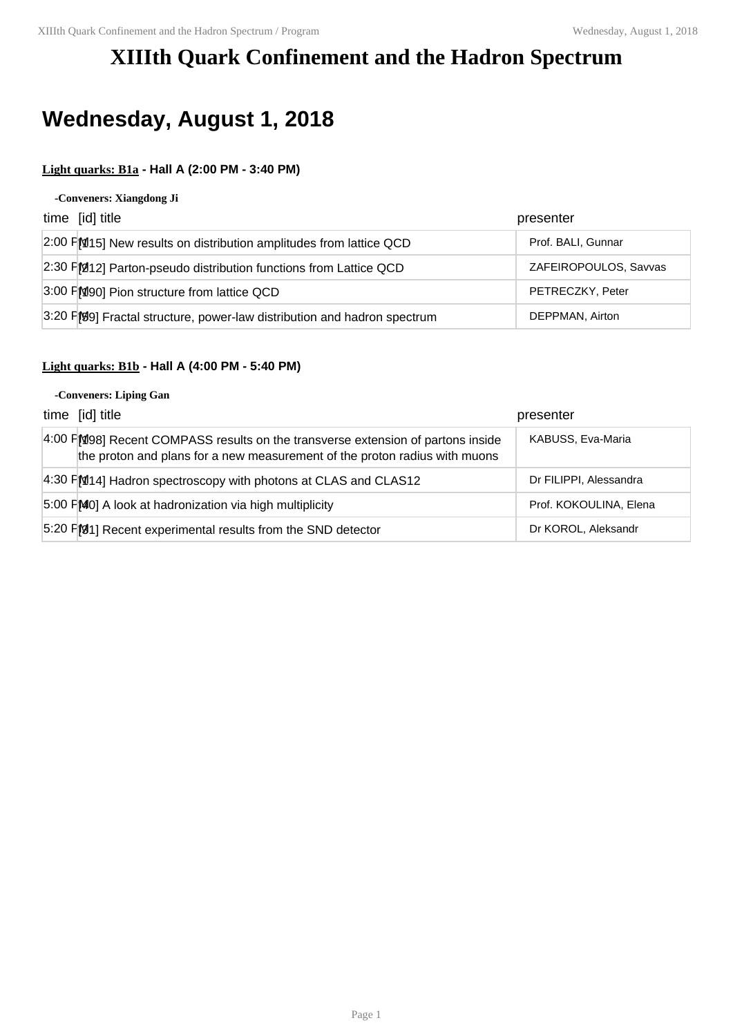## **XIIIth Quark Confinement and the Hadron Spectrum**

# **Wednesday, August 1, 2018**

## **Light quarks: B1a - Hall A (2:00 PM - 3:40 PM)**

#### **-Conveners: Xiangdong Ji**

| time [id] title                                                          | presenter             |
|--------------------------------------------------------------------------|-----------------------|
| 2:00 FM15] New results on distribution amplitudes from lattice QCD       | Prof. BALI, Gunnar    |
| 2:30 FM12] Parton-pseudo distribution functions from Lattice QCD         | ZAFEIROPOULOS, Savvas |
| 3:00 FM90] Pion structure from lattice QCD                               | PETRECZKY, Peter      |
| 3:20 F[99] Fractal structure, power-law distribution and hadron spectrum | DEPPMAN, Airton       |

## **Light quarks: B1b - Hall A (4:00 PM - 5:40 PM)**

### **-Conveners: Liping Gan**

| time [id] title                                                                                                                                               | presenter              |
|---------------------------------------------------------------------------------------------------------------------------------------------------------------|------------------------|
| 4:00 FM98] Recent COMPASS results on the transverse extension of partons inside<br>the proton and plans for a new measurement of the proton radius with muons | KABUSS, Eva-Maria      |
| $4:30$ F[M[14] Hadron spectroscopy with photons at CLAS and CLAS12                                                                                            | Dr FILIPPI, Alessandra |
| $5.00$ F $[M_0]$ A look at hadronization via high multiplicity                                                                                                | Prof. KOKOULINA, Elena |
| 5:20 FM1] Recent experimental results from the SND detector                                                                                                   | Dr KOROL, Aleksandr    |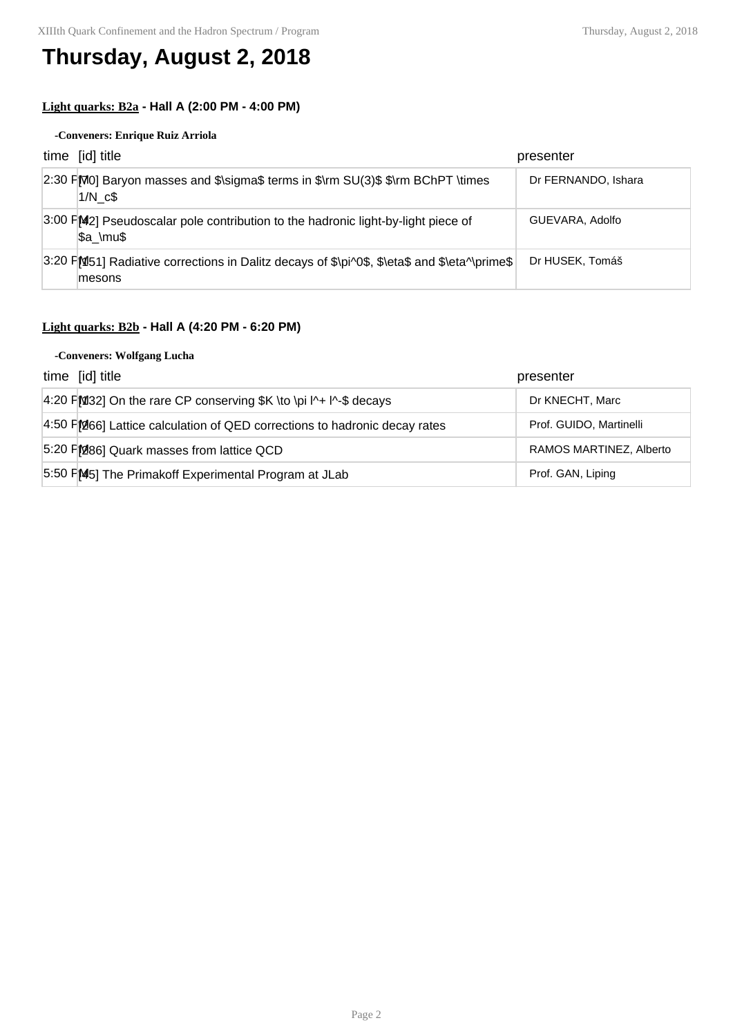## **Thursday, August 2, 2018**

## **Light quarks: B2a - Hall A (2:00 PM - 4:00 PM)**

### **-Conveners: Enrique Ruiz Arriola**

| time [id] title                                                                                        | presenter           |
|--------------------------------------------------------------------------------------------------------|---------------------|
| 2:30 FM0] Baryon masses and \$\sigma\$ terms in \$\rm SU(3)\$ \$\rm BChPT \times<br>$1/N$ $c$ \$       | Dr FERNANDO, Ishara |
| 3:00 FM2] Pseudoscalar pole contribution to the hadronic light-by-light piece of<br>\$a \mu\$          | GUEVARA, Adolfo     |
| 3:20 FM51] Radiative corrections in Dalitz decays of \$\pi^0\$, \$\eta\$ and \$\eta^\prime\$<br>mesons | Dr HUSEK, Tomáš     |

## **Light quarks: B2b - Hall A (4:20 PM - 6:20 PM)**

### **-Conveners: Wolfgang Lucha**

| time [id] title                                                           | presenter               |
|---------------------------------------------------------------------------|-------------------------|
| 4:20 FM 32] On the rare CP conserving $K \to \pi + \pi - \$ decays        | Dr KNECHT, Marc         |
| 4:50 FM66] Lattice calculation of QED corrections to hadronic decay rates | Prof. GUIDO, Martinelli |
| 5:20 FM86] Quark masses from lattice QCD                                  | RAMOS MARTINEZ, Alberto |
| 5:50 FM5] The Primakoff Experimental Program at JLab                      | Prof. GAN, Liping       |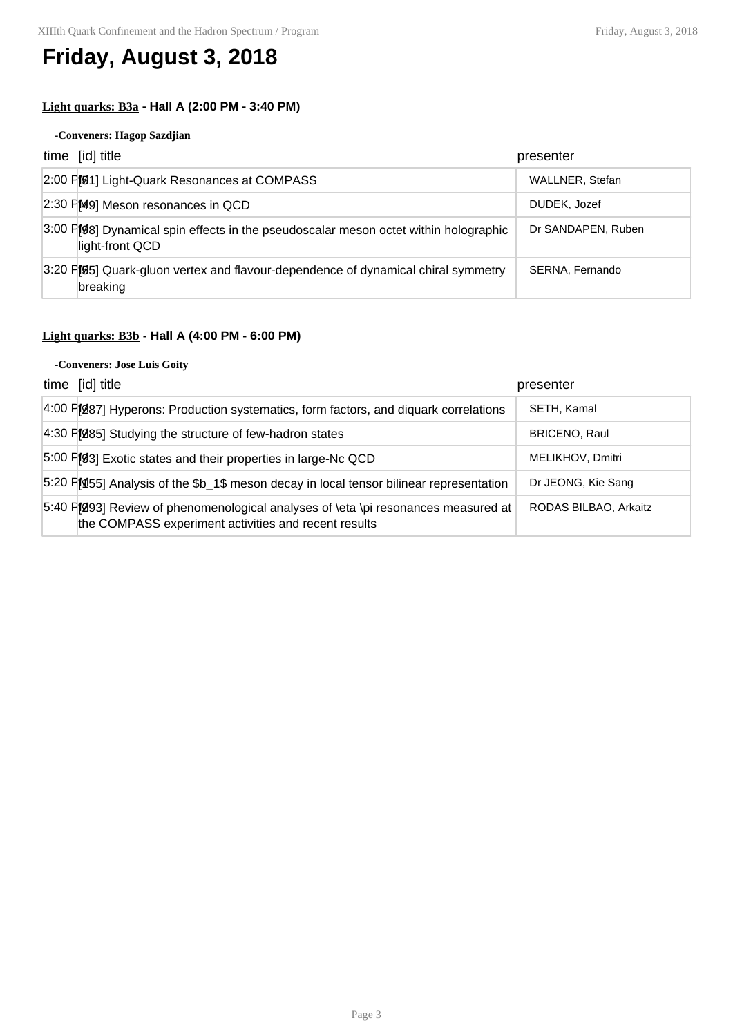## **Friday, August 3, 2018**

## **Light quarks: B3a - Hall A (2:00 PM - 3:40 PM)**

### **-Conveners: Hagop Sazdjian**

| time [id] title                                                                                         | presenter          |
|---------------------------------------------------------------------------------------------------------|--------------------|
| 2:00 FM1] Light-Quark Resonances at COMPASS                                                             | WALLNER, Stefan    |
| 2:30 PM9] Meson resonances in QCD                                                                       | DUDEK, Jozef       |
| 3:00 F[98] Dynamical spin effects in the pseudoscalar meson octet within holographic<br>light-front QCD | Dr SANDAPEN, Ruben |
| 3:20 F[95] Quark-gluon vertex and flavour-dependence of dynamical chiral symmetry<br>breaking           | SERNA, Fernando    |

## **Light quarks: B3b - Hall A (4:00 PM - 6:00 PM)**

#### **-Conveners: Jose Luis Goity**

| time [id] title                                                                                                                            | presenter             |
|--------------------------------------------------------------------------------------------------------------------------------------------|-----------------------|
| 4:00 FM87] Hyperons: Production systematics, form factors, and diquark correlations                                                        | SETH, Kamal           |
| 4:30 FM85] Studying the structure of few-hadron states                                                                                     | <b>BRICENO, Raul</b>  |
| 5:00 FM3] Exotic states and their properties in large-Nc QCD                                                                               | MELIKHOV, Dmitri      |
| 5:20 PM55] Analysis of the \$b 1\$ meson decay in local tensor bilinear representation                                                     | Dr JEONG, Kie Sang    |
| 5:40 F[293] Review of phenomenological analyses of \eta \pi resonances measured at<br>the COMPASS experiment activities and recent results | RODAS BILBAO, Arkaitz |